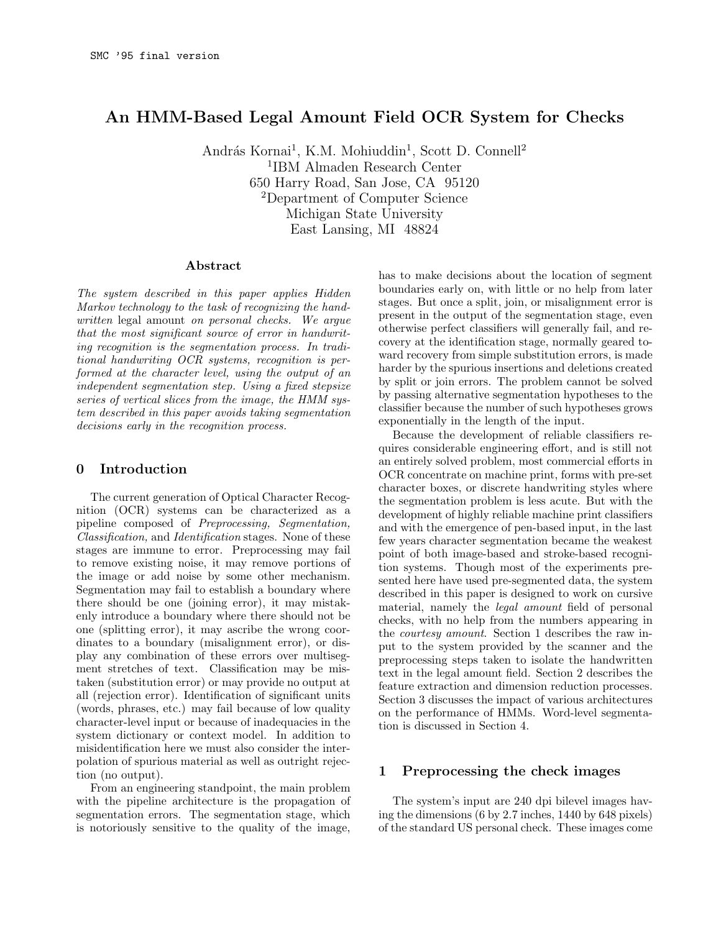# An HMM-Based Legal Amount Field OCR System for Checks

András Kornai<sup>1</sup>, K.M. Mohiuddin<sup>1</sup>, Scott D. Connell<sup>2</sup> 1 IBM Almaden Research Center 650 Harry Road, San Jose, CA 95120 <sup>2</sup>Department of Computer Science Michigan State University East Lansing, MI 48824

#### Abstract

The system described in this paper applies Hidden Markov technology to the task of recognizing the handwritten legal amount on personal checks. We argue that the most significant source of error in handwriting recognition is the segmentation process. In traditional handwriting OCR systems, recognition is performed at the character level, using the output of an independent segmentation step. Using a fixed stepsize series of vertical slices from the image, the HMM system described in this paper avoids taking segmentation decisions early in the recognition process.

### 0 Introduction

The current generation of Optical Character Recognition (OCR) systems can be characterized as a pipeline composed of Preprocessing, Segmentation, Classification, and Identification stages. None of these stages are immune to error. Preprocessing may fail to remove existing noise, it may remove portions of the image or add noise by some other mechanism. Segmentation may fail to establish a boundary where there should be one (joining error), it may mistakenly introduce a boundary where there should not be one (splitting error), it may ascribe the wrong coordinates to a boundary (misalignment error), or display any combination of these errors over multisegment stretches of text. Classification may be mistaken (substitution error) or may provide no output at all (rejection error). Identification of significant units (words, phrases, etc.) may fail because of low quality character-level input or because of inadequacies in the system dictionary or context model. In addition to misidentification here we must also consider the interpolation of spurious material as well as outright rejection (no output).

From an engineering standpoint, the main problem with the pipeline architecture is the propagation of segmentation errors. The segmentation stage, which is notoriously sensitive to the quality of the image,

has to make decisions about the location of segment boundaries early on, with little or no help from later stages. But once a split, join, or misalignment error is present in the output of the segmentation stage, even otherwise perfect classifiers will generally fail, and recovery at the identification stage, normally geared toward recovery from simple substitution errors, is made harder by the spurious insertions and deletions created by split or join errors. The problem cannot be solved by passing alternative segmentation hypotheses to the classifier because the number of such hypotheses grows exponentially in the length of the input.

Because the development of reliable classifiers requires considerable engineering effort, and is still not an entirely solved problem, most commercial efforts in OCR concentrate on machine print, forms with pre-set character boxes, or discrete handwriting styles where the segmentation problem is less acute. But with the development of highly reliable machine print classifiers and with the emergence of pen-based input, in the last few years character segmentation became the weakest point of both image-based and stroke-based recognition systems. Though most of the experiments presented here have used pre-segmented data, the system described in this paper is designed to work on cursive material, namely the legal amount field of personal checks, with no help from the numbers appearing in the courtesy amount. Section 1 describes the raw input to the system provided by the scanner and the preprocessing steps taken to isolate the handwritten text in the legal amount field. Section 2 describes the feature extraction and dimension reduction processes. Section 3 discusses the impact of various architectures on the performance of HMMs. Word-level segmentation is discussed in Section 4.

## 1 Preprocessing the check images

The system's input are 240 dpi bilevel images having the dimensions (6 by 2.7 inches, 1440 by 648 pixels) of the standard US personal check. These images come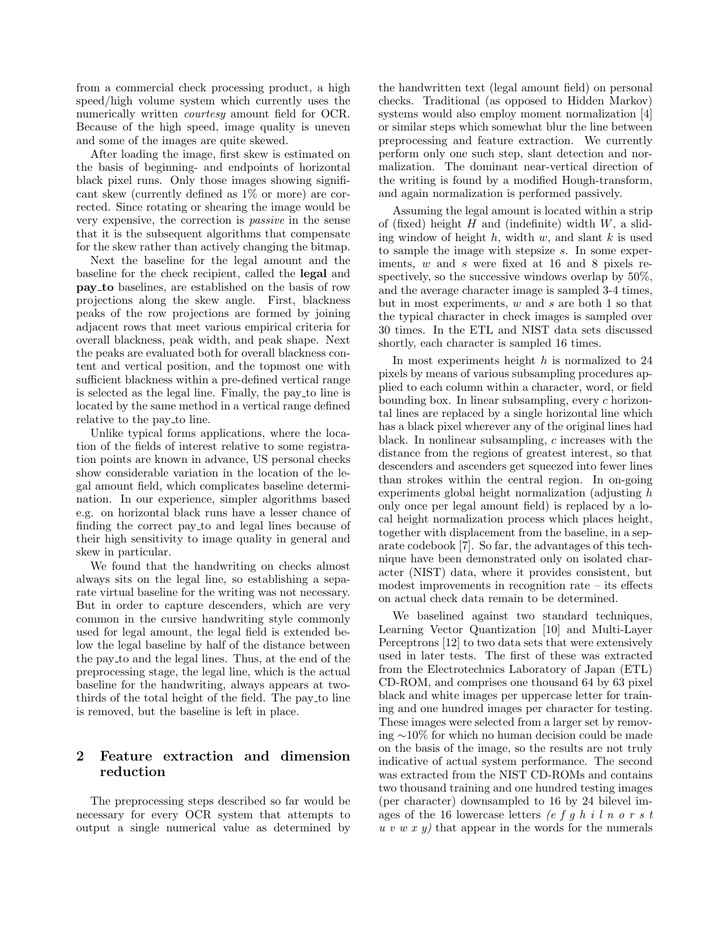from a commercial check processing product, a high speed/high volume system which currently uses the numerically written *courtesy* amount field for OCR. Because of the high speed, image quality is uneven and some of the images are quite skewed.

After loading the image, first skew is estimated on the basis of beginning- and endpoints of horizontal black pixel runs. Only those images showing significant skew (currently defined as 1% or more) are corrected. Since rotating or shearing the image would be very expensive, the correction is passive in the sense that it is the subsequent algorithms that compensate for the skew rather than actively changing the bitmap.

Next the baseline for the legal amount and the baseline for the check recipient, called the legal and pay to baselines, are established on the basis of row projections along the skew angle. First, blackness peaks of the row projections are formed by joining adjacent rows that meet various empirical criteria for overall blackness, peak width, and peak shape. Next the peaks are evaluated both for overall blackness content and vertical position, and the topmost one with sufficient blackness within a pre-defined vertical range is selected as the legal line. Finally, the pay to line is located by the same method in a vertical range defined relative to the pay to line.

Unlike typical forms applications, where the location of the fields of interest relative to some registration points are known in advance, US personal checks show considerable variation in the location of the legal amount field, which complicates baseline determination. In our experience, simpler algorithms based e.g. on horizontal black runs have a lesser chance of finding the correct pay to and legal lines because of their high sensitivity to image quality in general and skew in particular.

We found that the handwriting on checks almost always sits on the legal line, so establishing a separate virtual baseline for the writing was not necessary. But in order to capture descenders, which are very common in the cursive handwriting style commonly used for legal amount, the legal field is extended below the legal baseline by half of the distance between the pay to and the legal lines. Thus, at the end of the preprocessing stage, the legal line, which is the actual baseline for the handwriting, always appears at twothirds of the total height of the field. The pay to line is removed, but the baseline is left in place.

# 2 Feature extraction and dimension reduction

The preprocessing steps described so far would be necessary for every OCR system that attempts to output a single numerical value as determined by the handwritten text (legal amount field) on personal checks. Traditional (as opposed to Hidden Markov) systems would also employ moment normalization [4] or similar steps which somewhat blur the line between preprocessing and feature extraction. We currently perform only one such step, slant detection and normalization. The dominant near-vertical direction of the writing is found by a modified Hough-transform, and again normalization is performed passively.

Assuming the legal amount is located within a strip of (fixed) height  $H$  and (indefinite) width  $W$ , a sliding window of height  $h$ , width  $w$ , and slant  $k$  is used to sample the image with stepsize s. In some experiments, w and s were fixed at 16 and 8 pixels respectively, so the successive windows overlap by  $50\%$ , and the average character image is sampled 3-4 times, but in most experiments,  $w$  and  $s$  are both 1 so that the typical character in check images is sampled over 30 times. In the ETL and NIST data sets discussed shortly, each character is sampled 16 times.

In most experiments height  $h$  is normalized to 24 pixels by means of various subsampling procedures applied to each column within a character, word, or field bounding box. In linear subsampling, every c horizontal lines are replaced by a single horizontal line which has a black pixel wherever any of the original lines had black. In nonlinear subsampling, c increases with the distance from the regions of greatest interest, so that descenders and ascenders get squeezed into fewer lines than strokes within the central region. In on-going experiments global height normalization (adjusting h only once per legal amount field) is replaced by a local height normalization process which places height, together with displacement from the baseline, in a separate codebook [7]. So far, the advantages of this technique have been demonstrated only on isolated character (NIST) data, where it provides consistent, but modest improvements in recognition rate – its effects on actual check data remain to be determined.

We baselined against two standard techniques, Learning Vector Quantization [10] and Multi-Layer Perceptrons [12] to two data sets that were extensively used in later tests. The first of these was extracted from the Electrotechnics Laboratory of Japan (ETL) CD-ROM, and comprises one thousand 64 by 63 pixel black and white images per uppercase letter for training and one hundred images per character for testing. These images were selected from a larger set by removing ∼10% for which no human decision could be made on the basis of the image, so the results are not truly indicative of actual system performance. The second was extracted from the NIST CD-ROMs and contains two thousand training and one hundred testing images (per character) downsampled to 16 by 24 bilevel images of the 16 lowercase letters  $(e f g h i l n o r s t)$  $u \, v \, w \, x \, y$  that appear in the words for the numerals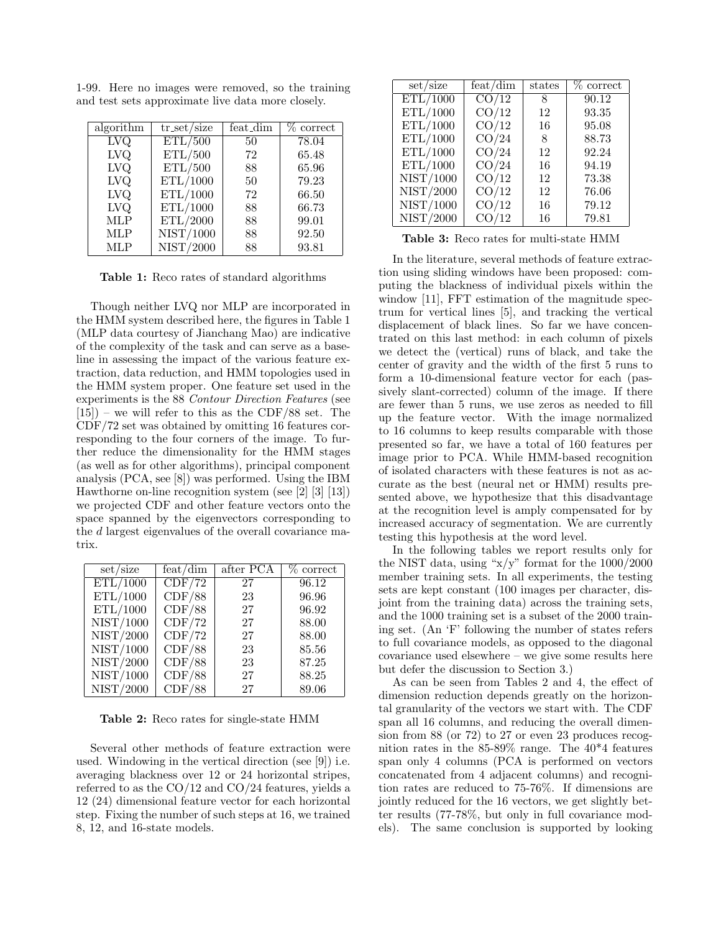| algorithm               | $tr_set/size$ | feat_dim | $\%$ correct |
|-------------------------|---------------|----------|--------------|
| $\overline{\text{LVO}}$ | ETL/500       | 50       | 78.04        |
| <b>LVQ</b>              | ETL/500       | 72       | 65.48        |
| LVQ                     | ETL/500       | 88       | 65.96        |
| <b>LVQ</b>              | ETL/1000      | 50       | 79.23        |
| <b>LVQ</b>              | ETL/1000      | 72       | 66.50        |
| LVQ                     | ETL/1000      | 88       | 66.73        |
| <b>MLP</b>              | ETL/2000      | 88       | 99.01        |
| MLP                     | NIST/1000     | 88       | 92.50        |
| <b>MLP</b>              | NIST/2000     | 88       | 93.81        |

1-99. Here no images were removed, so the training and test sets approximate live data more closely.

Table 1: Reco rates of standard algorithms

Though neither LVQ nor MLP are incorporated in the HMM system described here, the figures in Table 1 (MLP data courtesy of Jianchang Mao) are indicative of the complexity of the task and can serve as a baseline in assessing the impact of the various feature extraction, data reduction, and HMM topologies used in the HMM system proper. One feature set used in the experiments is the 88 Contour Direction Features (see  $[15]$  – we will refer to this as the CDF/88 set. The CDF/72 set was obtained by omitting 16 features corresponding to the four corners of the image. To further reduce the dimensionality for the HMM stages (as well as for other algorithms), principal component analysis (PCA, see [8]) was performed. Using the IBM Hawthorne on-line recognition system (see [2] [3] [13]) we projected CDF and other feature vectors onto the space spanned by the eigenvectors corresponding to the d largest eigenvalues of the overall covariance matrix.

| set / size | feat/dim                   | after PCA | % correct |
|------------|----------------------------|-----------|-----------|
| ETL/1000   | $\overline{\text{CDF}/72}$ | 27        | 96.12     |
| ETL/1000   | CDF/88                     | 23        | 96.96     |
| ETL/1000   | CDF/88                     | 27        | 96.92     |
| NIST/1000  | CDF/72                     | 27        | 88.00     |
| NIST/2000  | CDF/72                     | 27        | 88.00     |
| NIST/1000  | CDF/88                     | 23        | 85.56     |
| NIST/2000  | CDF/88                     | 23        | 87.25     |
| NIST/1000  | CDF/88                     | 27        | 88.25     |
| NIST/2000  | CDF/88                     | 27        | 89.06     |

Table 2: Reco rates for single-state HMM

Several other methods of feature extraction were used. Windowing in the vertical direction (see [9]) i.e. averaging blackness over 12 or 24 horizontal stripes, referred to as the CO/12 and CO/24 features, yields a 12 (24) dimensional feature vector for each horizontal step. Fixing the number of such steps at 16, we trained 8, 12, and 16-state models.

| set/size  | feat/dim           | states | % correct |
|-----------|--------------------|--------|-----------|
| ETL/1000  | $\overline{CO/12}$ | 8      | 90.12     |
| ETL/1000  | CO/12              | 12     | 93.35     |
| ETL/1000  | CO/12              | 16     | 95.08     |
| ETL/1000  | CO/24              | 8      | 88.73     |
| ETL/1000  | CO/24              | 12     | 92.24     |
| ETL/1000  | CO/24              | 16     | 94.19     |
| NIST/1000 | CO/12              | 12     | 73.38     |
| NIST/2000 | CO/12              | 12     | 76.06     |
| NIST/1000 | CO/12              | 16     | 79.12     |
| NIST/2000 | CO/12              | 16     | 79.81     |

Table 3: Reco rates for multi-state HMM

In the literature, several methods of feature extraction using sliding windows have been proposed: computing the blackness of individual pixels within the window [11], FFT estimation of the magnitude spectrum for vertical lines [5], and tracking the vertical displacement of black lines. So far we have concentrated on this last method: in each column of pixels we detect the (vertical) runs of black, and take the center of gravity and the width of the first 5 runs to form a 10-dimensional feature vector for each (passively slant-corrected) column of the image. If there are fewer than 5 runs, we use zeros as needed to fill up the feature vector. With the image normalized to 16 columns to keep results comparable with those presented so far, we have a total of 160 features per image prior to PCA. While HMM-based recognition of isolated characters with these features is not as accurate as the best (neural net or HMM) results presented above, we hypothesize that this disadvantage at the recognition level is amply compensated for by increased accuracy of segmentation. We are currently testing this hypothesis at the word level.

In the following tables we report results only for the NIST data, using " $x/y$ " format for the  $1000/2000$ member training sets. In all experiments, the testing sets are kept constant (100 images per character, disjoint from the training data) across the training sets, and the 1000 training set is a subset of the 2000 training set. (An 'F' following the number of states refers to full covariance models, as opposed to the diagonal covariance used elsewhere – we give some results here but defer the discussion to Section 3.)

As can be seen from Tables 2 and 4, the effect of dimension reduction depends greatly on the horizontal granularity of the vectors we start with. The CDF span all 16 columns, and reducing the overall dimension from 88 (or 72) to 27 or even 23 produces recognition rates in the 85-89% range. The 40\*4 features span only 4 columns (PCA is performed on vectors concatenated from 4 adjacent columns) and recognition rates are reduced to 75-76%. If dimensions are jointly reduced for the 16 vectors, we get slightly better results (77-78%, but only in full covariance models). The same conclusion is supported by looking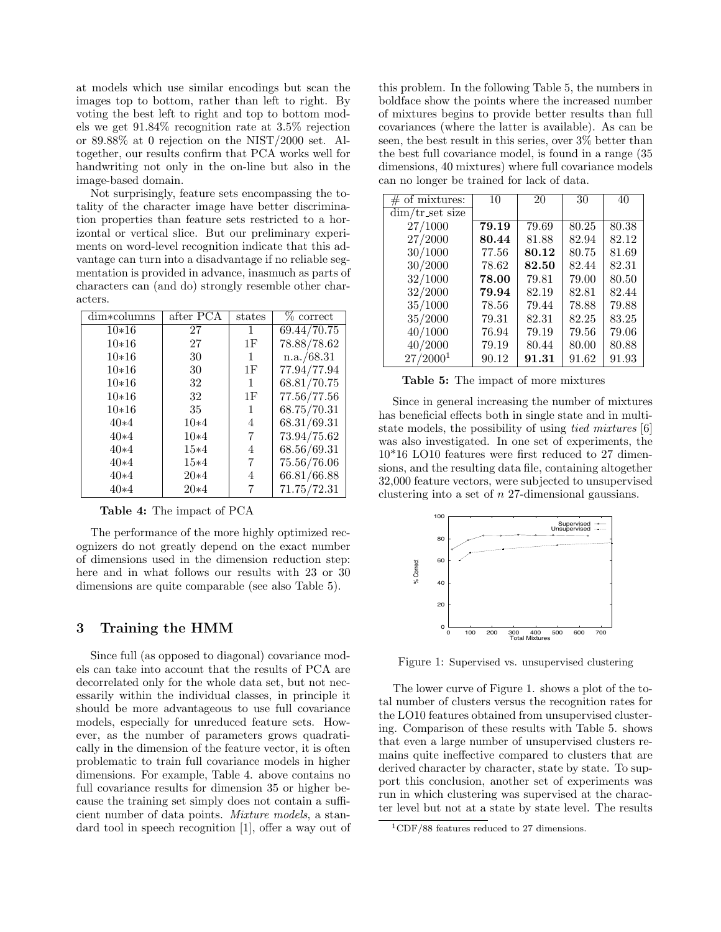at models which use similar encodings but scan the images top to bottom, rather than left to right. By voting the best left to right and top to bottom models we get 91.84% recognition rate at 3.5% rejection or 89.88% at 0 rejection on the NIST/2000 set. Altogether, our results confirm that PCA works well for handwriting not only in the on-line but also in the image-based domain.

Not surprisingly, feature sets encompassing the totality of the character image have better discrimination properties than feature sets restricted to a horizontal or vertical slice. But our preliminary experiments on word-level recognition indicate that this advantage can turn into a disadvantage if no reliable segmentation is provided in advance, inasmuch as parts of characters can (and do) strongly resemble other characters.

| dim*columns | after PCA | states | $%$ correct |
|-------------|-----------|--------|-------------|
| $10*16$     | 27        | 1      | 69.44/70.75 |
| $10*16$     | 27        | 1F     | 78.88/78.62 |
| $10*16$     | 30        | 1      | n.a./68.31  |
| $10*16$     | 30        | 1F     | 77.94/77.94 |
| $10*16$     | 32        | 1      | 68.81/70.75 |
| $10*16$     | 32        | 1F     | 77.56/77.56 |
| $10*16$     | 35        | 1      | 68.75/70.31 |
| $40*4$      | $10*4$    | 4      | 68.31/69.31 |
| $40*4$      | $10*4$    | 7      | 73.94/75.62 |
| $40*4$      | $15*4$    | 4      | 68.56/69.31 |
| $40*4$      | $15*4$    | 7      | 75.56/76.06 |
| $40*4$      | $20*4$    | 4      | 66.81/66.88 |
| $40*4$      | $20*4$    | 7      | 71.75/72.31 |

Table 4: The impact of PCA

The performance of the more highly optimized recognizers do not greatly depend on the exact number of dimensions used in the dimension reduction step: here and in what follows our results with 23 or 30 dimensions are quite comparable (see also Table 5).

## 3 Training the HMM

Since full (as opposed to diagonal) covariance models can take into account that the results of PCA are decorrelated only for the whole data set, but not necessarily within the individual classes, in principle it should be more advantageous to use full covariance models, especially for unreduced feature sets. However, as the number of parameters grows quadratically in the dimension of the feature vector, it is often problematic to train full covariance models in higher dimensions. For example, Table 4. above contains no full covariance results for dimension 35 or higher because the training set simply does not contain a sufficient number of data points. Mixture models, a standard tool in speech recognition [1], offer a way out of

this problem. In the following Table 5, the numbers in boldface show the points where the increased number of mixtures begins to provide better results than full covariances (where the latter is available). As can be seen, the best result in this series, over 3% better than the best full covariance model, is found in a range (35 dimensions, 40 mixtures) where full covariance models can no longer be trained for lack of data.

| $#$ of mixtures:           | 10    | 20    | 30    | 40    |
|----------------------------|-------|-------|-------|-------|
| $\dim/\text{tr}\$ set size |       |       |       |       |
| 27/1000                    | 79.19 | 79.69 | 80.25 | 80.38 |
| 27/2000                    | 80.44 | 81.88 | 82.94 | 82.12 |
| 30/1000                    | 77.56 | 80.12 | 80.75 | 81.69 |
| 30/2000                    | 78.62 | 82.50 | 82.44 | 82.31 |
| 32/1000                    | 78.00 | 79.81 | 79.00 | 80.50 |
| 32/2000                    | 79.94 | 82.19 | 82.81 | 82.44 |
| 35/1000                    | 78.56 | 79.44 | 78.88 | 79.88 |
| 35/2000                    | 79.31 | 82.31 | 82.25 | 83.25 |
| 40/1000                    | 76.94 | 79.19 | 79.56 | 79.06 |
| 40/2000                    | 79.19 | 80.44 | 80.00 | 80.88 |
| 27/2000 <sup>1</sup>       | 90.12 | 91.31 | 91.62 | 91.93 |

Table 5: The impact of more mixtures

Since in general increasing the number of mixtures has beneficial effects both in single state and in multistate models, the possibility of using tied mixtures [6] was also investigated. In one set of experiments, the 10\*16 LO10 features were first reduced to 27 dimensions, and the resulting data file, containing altogether 32,000 feature vectors, were subjected to unsupervised clustering into a set of n 27-dimensional gaussians.



Figure 1: Supervised vs. unsupervised clustering

The lower curve of Figure 1. shows a plot of the total number of clusters versus the recognition rates for the LO10 features obtained from unsupervised clustering. Comparison of these results with Table 5. shows that even a large number of unsupervised clusters remains quite ineffective compared to clusters that are derived character by character, state by state. To support this conclusion, another set of experiments was run in which clustering was supervised at the character level but not at a state by state level. The results

<sup>1</sup>CDF/88 features reduced to 27 dimensions.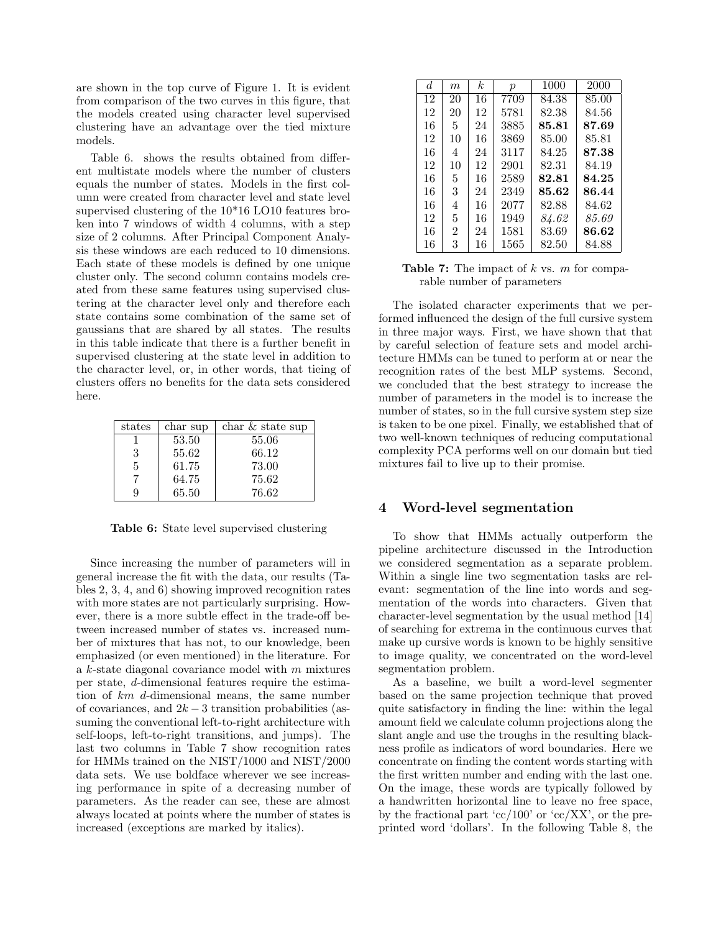are shown in the top curve of Figure 1. It is evident from comparison of the two curves in this figure, that the models created using character level supervised clustering have an advantage over the tied mixture models.

Table 6. shows the results obtained from different multistate models where the number of clusters equals the number of states. Models in the first column were created from character level and state level supervised clustering of the 10\*16 LO10 features broken into 7 windows of width 4 columns, with a step size of 2 columns. After Principal Component Analysis these windows are each reduced to 10 dimensions. Each state of these models is defined by one unique cluster only. The second column contains models created from these same features using supervised clustering at the character level only and therefore each state contains some combination of the same set of gaussians that are shared by all states. The results in this table indicate that there is a further benefit in supervised clustering at the state level in addition to the character level, or, in other words, that tieing of clusters offers no benefits for the data sets considered here.

| states | char sup | char $&$ state sup |
|--------|----------|--------------------|
|        | 53.50    | 55.06              |
| 3      | 55.62    | 66.12              |
| 5      | 61.75    | 73.00              |
|        | 64.75    | 75.62              |
| 9      | 65.50    | 76.62              |

Table 6: State level supervised clustering

Since increasing the number of parameters will in general increase the fit with the data, our results (Tables 2, 3, 4, and 6) showing improved recognition rates with more states are not particularly surprising. However, there is a more subtle effect in the trade-off between increased number of states vs. increased number of mixtures that has not, to our knowledge, been emphasized (or even mentioned) in the literature. For a  $k$ -state diagonal covariance model with  $m$  mixtures per state, d-dimensional features require the estimation of km d-dimensional means, the same number of covariances, and  $2k-3$  transition probabilities (assuming the conventional left-to-right architecture with self-loops, left-to-right transitions, and jumps). The last two columns in Table 7 show recognition rates for HMMs trained on the NIST/1000 and NIST/2000 data sets. We use boldface wherever we see increasing performance in spite of a decreasing number of parameters. As the reader can see, these are almost always located at points where the number of states is increased (exceptions are marked by italics).

| d. | $m\,$ | k. | $\mathcal{D}$ | 1000  | 2000  |
|----|-------|----|---------------|-------|-------|
| 12 | 20    | 16 | 7709          | 84.38 | 85.00 |
| 12 | 20    | 12 | 5781          | 82.38 | 84.56 |
| 16 | 5     | 24 | 3885          | 85.81 | 87.69 |
| 12 | 10    | 16 | 3869          | 85.00 | 85.81 |
| 16 | 4     | 24 | 3117          | 84.25 | 87.38 |
| 12 | 10    | 12 | 2901          | 82.31 | 84.19 |
| 16 | 5     | 16 | 2589          | 82.81 | 84.25 |
| 16 | 3     | 24 | 2349          | 85.62 | 86.44 |
| 16 | 4     | 16 | 2077          | 82.88 | 84.62 |
| 12 | 5     | 16 | 1949          | 84.62 | 85.69 |
| 16 | 2     | 24 | 1581          | 83.69 | 86.62 |
| 16 | 3     | 16 | 1565          | 82.50 | 84.88 |

**Table 7:** The impact of k vs. m for comparable number of parameters

The isolated character experiments that we performed influenced the design of the full cursive system in three major ways. First, we have shown that that by careful selection of feature sets and model architecture HMMs can be tuned to perform at or near the recognition rates of the best MLP systems. Second, we concluded that the best strategy to increase the number of parameters in the model is to increase the number of states, so in the full cursive system step size is taken to be one pixel. Finally, we established that of two well-known techniques of reducing computational complexity PCA performs well on our domain but tied mixtures fail to live up to their promise.

### 4 Word-level segmentation

To show that HMMs actually outperform the pipeline architecture discussed in the Introduction we considered segmentation as a separate problem. Within a single line two segmentation tasks are relevant: segmentation of the line into words and segmentation of the words into characters. Given that character-level segmentation by the usual method [14] of searching for extrema in the continuous curves that make up cursive words is known to be highly sensitive to image quality, we concentrated on the word-level segmentation problem.

As a baseline, we built a word-level segmenter based on the same projection technique that proved quite satisfactory in finding the line: within the legal amount field we calculate column projections along the slant angle and use the troughs in the resulting blackness profile as indicators of word boundaries. Here we concentrate on finding the content words starting with the first written number and ending with the last one. On the image, these words are typically followed by a handwritten horizontal line to leave no free space, by the fractional part 'cc/100' or 'cc/XX', or the preprinted word 'dollars'. In the following Table 8, the